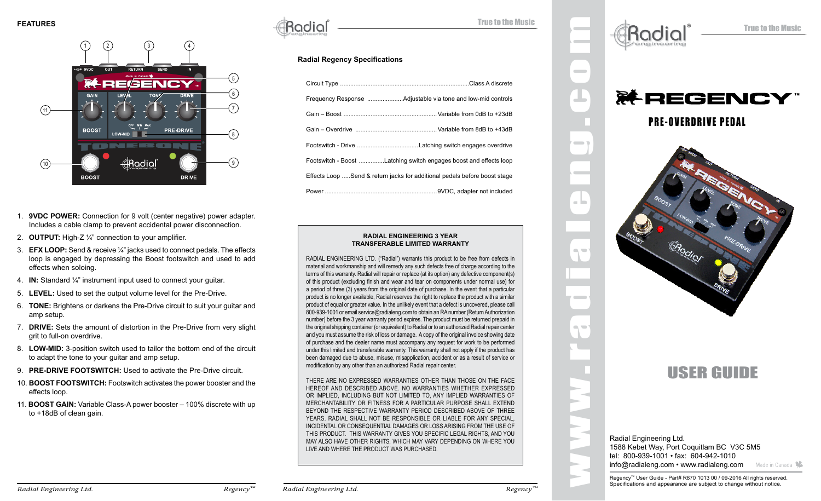

- 1. **9VDC POWER:** Connection for 9 volt (center negative) power adapter. Includes a cable clamp to prevent accidental power disconnection.
- 2. **OUTPUT:** High-Z ¼" connection to your amplifier.
- 3. **EFX LOOP:** Send & receive ¼" jacks used to connect pedals. The effects loop is engaged by depressing the Boost footswitch and used to add effects when soloing.
- 4. **IN:** Standard ¼" instrument input used to connect your guitar.
- 5. **LEVEL:** Used to set the output volume level for the Pre-Drive.
- 6. **TONE:** Brightens or darkens the Pre-Drive circuit to suit your guitar and amp setup.
- 7. **DRIVE:** Sets the amount of distortion in the Pre-Drive from very slight grit to full-on overdrive.
- 8. **LOW-MID:** 3-position switch used to tailor the bottom end of the circuit to adapt the tone to your guitar and amp setup.
- 9. **PRE-DRIVE FOOTSWITCH:** Used to activate the Pre-Drive circuit.
- 10. **BOOST FOOTSWITCH:** Footswitch activates the power booster and the effects loop.
- 11. **BOOST GAIN:** Variable Class-A power booster 100% discrete with up to +18dB of clean gain.

® True to the Music

# **Radial Regency Specifications**

| Footswitch - Boost Latching switch engages boost and effects loop         |
|---------------------------------------------------------------------------|
| Effects Loop Send & return jacks for additional pedals before boost stage |
|                                                                           |

#### **RADIAL ENGINEERING 3 YEAR TRANSFERABLE LIMITED WARRANTY**

RADIAL ENGINEERING LTD. ("Radial") warrants this product to be free from defects in material and workmanship and will remedy any such defects free of charge according to the terms of this warranty. Radial will repair or replace (at its option) any defective component(s) of this product (excluding finish and wear and tear on components under normal use) for a period of three (3) years from the original date of purchase. In the event that a particular product is no longer available, Radial reserves the right to replace the product with a similar product of equal or greater value. In the unlikely event that a defect is uncovered, please call 800-939-1001 or email service@radialeng.com to obtain an RA number (Return Authorization number) before the 3 year warranty period expires. The product must be returned prepaid in the original shipping container (or equivalent) to Radial or to an authorized Radial repair center and you must assume the risk of loss or damage. A copy of the original invoice showing date of purchase and the dealer name must accompany any request for work to be performed under this limited and transferable warranty. This warranty shall not apply if the product has been damaged due to abuse, misuse, misapplication, accident or as a result of service or modification by any other than an authorized Radial repair center.

THERE ARE NO EXPRESSED WARRANTIES OTHER THAN THOSE ON THE FACE HEREOF AND DESCRIBED ABOVE. NO WARRANTIES WHETHER EXPRESSED OR IMPLIED, INCLUDING BUT NOT LIMITED TO, ANY IMPLIED WARRANTIES OF MERCHANTABILITY OR FITNESS FOR A PARTICULAR PURPOSE SHALL EXTEND BEYOND THE RESPECTIVE WARRANTY PERIOD DESCRIBED ABOVE OF THREE YEARS. RADIAL SHALL NOT BE RESPONSIBLE OR LIABLE FOR ANY SPECIAL, INCIDENTAL OR CONSEQUENTIAL DAMAGES OR LOSS ARISING FROM THE USE OF THIS PRODUCT. THIS WARRANTY GIVES YOU SPECIFIC LEGAL RIGHTS, AND YOU MAY ALSO HAVE OTHER RIGHTS, WHICH MAY VARY DEPENDING ON WHERE YOU LIVE AND WHERE THE PRODUCT WAS PURCHASED.





# USER GUIDE

Radial Engineering Ltd. 1588 Kebet Way, Port Coquitlam BC V3C 5M5 tel: 800-939-1001 • fax: 604-942-1010 info@radialeng.com • www.radialeng.com Made in Canada

www.radialeng.com

 $\sim$ 

 $\blacksquare$ 

 $\blacksquare$ 

a la

 $\sim$ 

 $\blacksquare$ 

Regency™ User Guide - Part# R870 1013 00 / 09-2016 All rights reserved. Specifications and appearance are subject to change without notice.